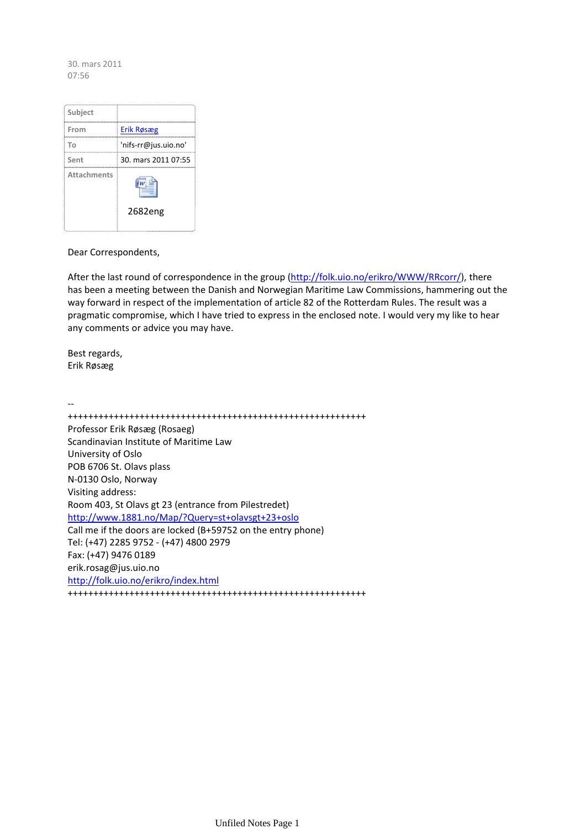30. mars 2011 07:56

| <b>Erik Røsæg</b>       |
|-------------------------|
| 'nifs-rr@jus.uio.no'    |
| $30.$ mars $2011.07:55$ |
|                         |
| 2682eng                 |
|                         |

Dear Correspondents,

After the last round of correspondence in the group (http://folk.uio.no/erikro/WWW/RRcorr/), there has been a meeting between the Danish and Norwegian Maritime Law Commissions, hammering out the way forward in respect of the implementation of article 82 of the Rotterdam Rules. The result was a pragmatic compromise, which I have tried to express in the enclosed note. I would very my like to hear any comments or advice you may have.

Best regards, Erik Røsæg

‐‐ ++++++++++++++++++++++++++++++++++++++++++++++++++++++++++ Professor Erik Røsæg (Rosaeg) Scandinavian Institute of Maritime Law University of Oslo POB 6706 St. Olavs plass N‐0130 Oslo, Norway Visiting address: Room 403, St Olavs gt 23 (entrance from Pilestredet) http://www.1881.no/Map/?Query=st+olavsgt+23+oslo Call me if the doors are locked (B+59752 on the entry phone) Tel: (+47) 2285 9752 ‐ (+47) 4800 2979 Fax: (+47) 9476 0189 erik.rosag@jus.uio.no http://folk.uio.no/erikro/index.html ++++++++++++++++++++++++++++++++++++++++++++++++++++++++++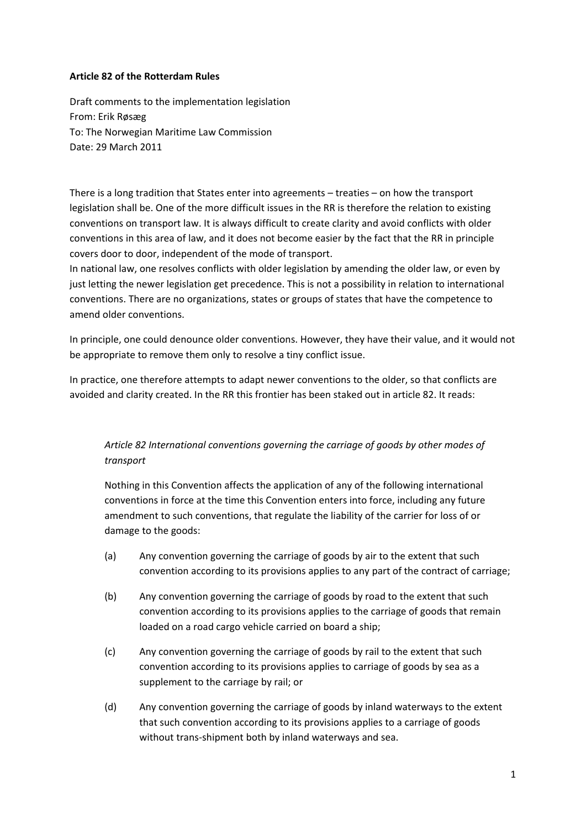## **Article 82 of the Rotterdam Rules**

Draft comments to the implementation legislation From: Erik Røsæg To: The Norwegian Maritime Law Commission Date: 29 March 2011

There is a long tradition that States enter into agreements – treaties – on how the transport legislation shall be. One of the more difficult issues in the RR is therefore the relation to existing conventions on transport law. It is always difficult to create clarity and avoid conflicts with older conventions in this area of law, and it does not become easier by the fact that the RR in principle covers door to door, independent of the mode of transport.

In national law, one resolves conflicts with older legislation by amending the older law, or even by just letting the newer legislation get precedence. This is not a possibility in relation to international conventions. There are no organizations, states or groups of states that have the competence to amend older conventions.

In principle, one could denounce older conventions. However, they have their value, and it would not be appropriate to remove them only to resolve a tiny conflict issue.

In practice, one therefore attempts to adapt newer conventions to the older, so that conflicts are avoided and clarity created. In the RR this frontier has been staked out in article 82. It reads:

## *Article 82 International conventions governing the carriage of goods by other modes of transport*

Nothing in this Convention affects the application of any of the following international conventions in force at the time this Convention enters into force, including any future amendment to such conventions, that regulate the liability of the carrier for loss of or damage to the goods:

- (a) Any convention governing the carriage of goods by air to the extent that such convention according to its provisions applies to any part of the contract of carriage;
- (b) Any convention governing the carriage of goods by road to the extent that such convention according to its provisions applies to the carriage of goods that remain loaded on a road cargo vehicle carried on board a ship;
- (c) Any convention governing the carriage of goods by rail to the extent that such convention according to its provisions applies to carriage of goods by sea as a supplement to the carriage by rail; or
- (d) Any convention governing the carriage of goods by inland waterways to the extent that such convention according to its provisions applies to a carriage of goods without trans-shipment both by inland waterways and sea.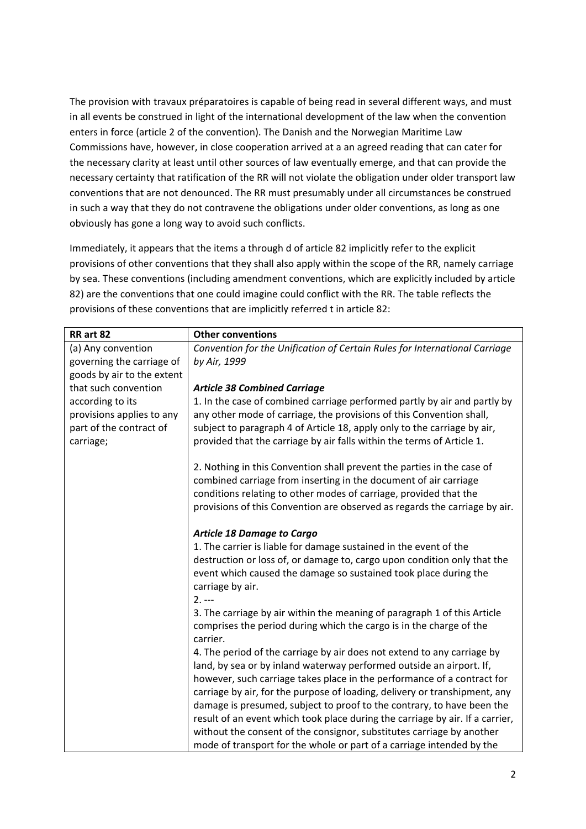The provision with travaux préparatoires is capable of being read in several different ways, and must in all events be construed in light of the international development of the law when the convention enters in force (article 2 of the convention). The Danish and the Norwegian Maritime Law Commissions have, however, in close cooperation arrived at a an agreed reading that can cater for the necessary clarity at least until other sources of law eventually emerge, and that can provide the necessary certainty that ratification of the RR will not violate the obligation under older transport law conventions that are not denounced. The RR must presumably under all circumstances be construed in such a way that they do not contravene the obligations under older conventions, as long as one obviously has gone a long way to avoid such conflicts.

Immediately, it appears that the items a through d of article 82 implicitly refer to the explicit provisions of other conventions that they shall also apply within the scope of the RR, namely carriage by sea. These conventions (including amendment conventions, which are explicitly included by article 82) are the conventions that one could imagine could conflict with the RR. The table reflects the provisions of these conventions that are implicitly referred t in article 82:

| RR art 82                  | <b>Other conventions</b>                                                      |
|----------------------------|-------------------------------------------------------------------------------|
| (a) Any convention         | Convention for the Unification of Certain Rules for International Carriage    |
| governing the carriage of  | by Air, 1999                                                                  |
| goods by air to the extent |                                                                               |
| that such convention       | <b>Article 38 Combined Carriage</b>                                           |
| according to its           | 1. In the case of combined carriage performed partly by air and partly by     |
| provisions applies to any  | any other mode of carriage, the provisions of this Convention shall,          |
| part of the contract of    | subject to paragraph 4 of Article 18, apply only to the carriage by air,      |
| carriage;                  | provided that the carriage by air falls within the terms of Article 1.        |
|                            |                                                                               |
|                            | 2. Nothing in this Convention shall prevent the parties in the case of        |
|                            | combined carriage from inserting in the document of air carriage              |
|                            | conditions relating to other modes of carriage, provided that the             |
|                            | provisions of this Convention are observed as regards the carriage by air.    |
|                            |                                                                               |
|                            | <b>Article 18 Damage to Cargo</b>                                             |
|                            | 1. The carrier is liable for damage sustained in the event of the             |
|                            | destruction or loss of, or damage to, cargo upon condition only that the      |
|                            | event which caused the damage so sustained took place during the              |
|                            | carriage by air.                                                              |
|                            | $2. - -$                                                                      |
|                            | 3. The carriage by air within the meaning of paragraph 1 of this Article      |
|                            | comprises the period during which the cargo is in the charge of the           |
|                            | carrier.                                                                      |
|                            | 4. The period of the carriage by air does not extend to any carriage by       |
|                            | land, by sea or by inland waterway performed outside an airport. If,          |
|                            | however, such carriage takes place in the performance of a contract for       |
|                            | carriage by air, for the purpose of loading, delivery or transhipment, any    |
|                            | damage is presumed, subject to proof to the contrary, to have been the        |
|                            | result of an event which took place during the carriage by air. If a carrier, |
|                            | without the consent of the consignor, substitutes carriage by another         |
|                            | mode of transport for the whole or part of a carriage intended by the         |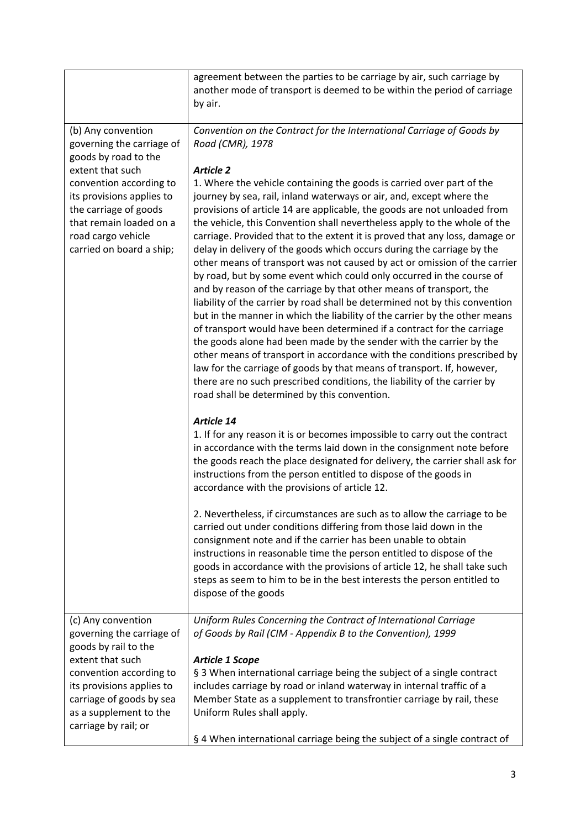|                                                                                                                                                                                                                                                           | agreement between the parties to be carriage by air, such carriage by<br>another mode of transport is deemed to be within the period of carriage<br>by air.                                                                                                                                                                                                                                                                                                                                                                                                                                                                                                                                                                                                                                                                                                                                                                                                                                                                                                                                                                                                                                                                                                                                                                                                                                                   |
|-----------------------------------------------------------------------------------------------------------------------------------------------------------------------------------------------------------------------------------------------------------|---------------------------------------------------------------------------------------------------------------------------------------------------------------------------------------------------------------------------------------------------------------------------------------------------------------------------------------------------------------------------------------------------------------------------------------------------------------------------------------------------------------------------------------------------------------------------------------------------------------------------------------------------------------------------------------------------------------------------------------------------------------------------------------------------------------------------------------------------------------------------------------------------------------------------------------------------------------------------------------------------------------------------------------------------------------------------------------------------------------------------------------------------------------------------------------------------------------------------------------------------------------------------------------------------------------------------------------------------------------------------------------------------------------|
| (b) Any convention<br>governing the carriage of<br>goods by road to the<br>extent that such<br>convention according to<br>its provisions applies to<br>the carriage of goods<br>that remain loaded on a<br>road cargo vehicle<br>carried on board a ship; | Convention on the Contract for the International Carriage of Goods by<br>Road (CMR), 1978<br><b>Article 2</b><br>1. Where the vehicle containing the goods is carried over part of the<br>journey by sea, rail, inland waterways or air, and, except where the<br>provisions of article 14 are applicable, the goods are not unloaded from<br>the vehicle, this Convention shall nevertheless apply to the whole of the<br>carriage. Provided that to the extent it is proved that any loss, damage or<br>delay in delivery of the goods which occurs during the carriage by the<br>other means of transport was not caused by act or omission of the carrier<br>by road, but by some event which could only occurred in the course of<br>and by reason of the carriage by that other means of transport, the<br>liability of the carrier by road shall be determined not by this convention<br>but in the manner in which the liability of the carrier by the other means<br>of transport would have been determined if a contract for the carriage<br>the goods alone had been made by the sender with the carrier by the<br>other means of transport in accordance with the conditions prescribed by<br>law for the carriage of goods by that means of transport. If, however,<br>there are no such prescribed conditions, the liability of the carrier by<br>road shall be determined by this convention. |
|                                                                                                                                                                                                                                                           | Article 14<br>1. If for any reason it is or becomes impossible to carry out the contract<br>in accordance with the terms laid down in the consignment note before<br>the goods reach the place designated for delivery, the carrier shall ask for<br>instructions from the person entitled to dispose of the goods in<br>accordance with the provisions of article 12.                                                                                                                                                                                                                                                                                                                                                                                                                                                                                                                                                                                                                                                                                                                                                                                                                                                                                                                                                                                                                                        |
|                                                                                                                                                                                                                                                           | 2. Nevertheless, if circumstances are such as to allow the carriage to be<br>carried out under conditions differing from those laid down in the<br>consignment note and if the carrier has been unable to obtain<br>instructions in reasonable time the person entitled to dispose of the<br>goods in accordance with the provisions of article 12, he shall take such<br>steps as seem to him to be in the best interests the person entitled to<br>dispose of the goods                                                                                                                                                                                                                                                                                                                                                                                                                                                                                                                                                                                                                                                                                                                                                                                                                                                                                                                                     |
| (c) Any convention<br>governing the carriage of                                                                                                                                                                                                           | Uniform Rules Concerning the Contract of International Carriage<br>of Goods by Rail (CIM - Appendix B to the Convention), 1999                                                                                                                                                                                                                                                                                                                                                                                                                                                                                                                                                                                                                                                                                                                                                                                                                                                                                                                                                                                                                                                                                                                                                                                                                                                                                |
| goods by rail to the<br>extent that such<br>convention according to<br>its provisions applies to<br>carriage of goods by sea<br>as a supplement to the<br>carriage by rail; or                                                                            | Article 1 Scope<br>§ 3 When international carriage being the subject of a single contract<br>includes carriage by road or inland waterway in internal traffic of a<br>Member State as a supplement to transfrontier carriage by rail, these<br>Uniform Rules shall apply.<br>§ 4 When international carriage being the subject of a single contract of                                                                                                                                                                                                                                                                                                                                                                                                                                                                                                                                                                                                                                                                                                                                                                                                                                                                                                                                                                                                                                                        |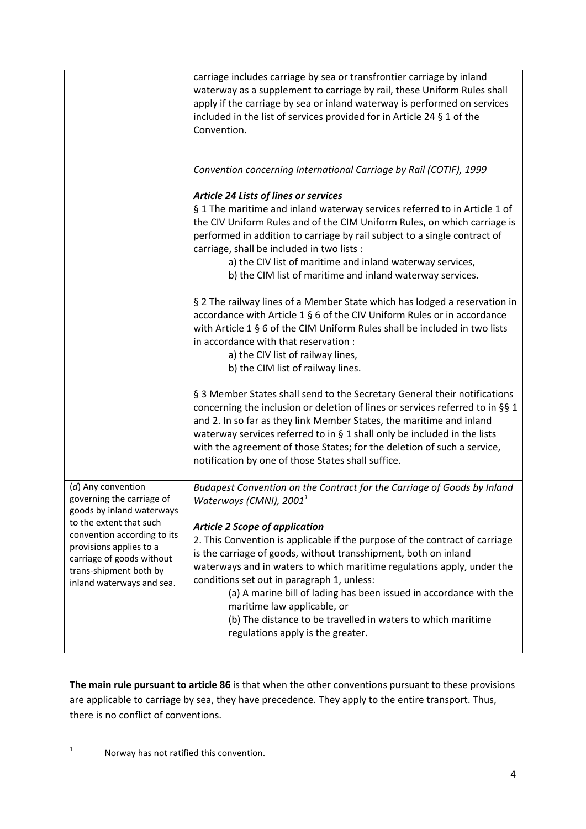|                                                                                                                                                                                                                                                       | carriage includes carriage by sea or transfrontier carriage by inland<br>waterway as a supplement to carriage by rail, these Uniform Rules shall<br>apply if the carriage by sea or inland waterway is performed on services<br>included in the list of services provided for in Article 24 § 1 of the<br>Convention.                                                                                                                                                                                                                                                                                                                       |
|-------------------------------------------------------------------------------------------------------------------------------------------------------------------------------------------------------------------------------------------------------|---------------------------------------------------------------------------------------------------------------------------------------------------------------------------------------------------------------------------------------------------------------------------------------------------------------------------------------------------------------------------------------------------------------------------------------------------------------------------------------------------------------------------------------------------------------------------------------------------------------------------------------------|
|                                                                                                                                                                                                                                                       | Convention concerning International Carriage by Rail (COTIF), 1999                                                                                                                                                                                                                                                                                                                                                                                                                                                                                                                                                                          |
|                                                                                                                                                                                                                                                       | Article 24 Lists of lines or services<br>§ 1 The maritime and inland waterway services referred to in Article 1 of<br>the CIV Uniform Rules and of the CIM Uniform Rules, on which carriage is<br>performed in addition to carriage by rail subject to a single contract of<br>carriage, shall be included in two lists :<br>a) the CIV list of maritime and inland waterway services,<br>b) the CIM list of maritime and inland waterway services.                                                                                                                                                                                         |
|                                                                                                                                                                                                                                                       | § 2 The railway lines of a Member State which has lodged a reservation in<br>accordance with Article 1 § 6 of the CIV Uniform Rules or in accordance<br>with Article 1 § 6 of the CIM Uniform Rules shall be included in two lists<br>in accordance with that reservation :<br>a) the CIV list of railway lines,<br>b) the CIM list of railway lines.                                                                                                                                                                                                                                                                                       |
|                                                                                                                                                                                                                                                       | § 3 Member States shall send to the Secretary General their notifications<br>concerning the inclusion or deletion of lines or services referred to in §§ 1<br>and 2. In so far as they link Member States, the maritime and inland<br>waterway services referred to in $\S$ 1 shall only be included in the lists<br>with the agreement of those States; for the deletion of such a service,<br>notification by one of those States shall suffice.                                                                                                                                                                                          |
| (d) Any convention<br>governing the carriage of<br>goods by inland waterways<br>to the extent that such<br>convention according to its<br>provisions applies to a<br>carriage of goods without<br>trans-shipment both by<br>inland waterways and sea. | Budapest Convention on the Contract for the Carriage of Goods by Inland<br>Waterways (CMNI), 2001 <sup>1</sup><br><b>Article 2 Scope of application</b><br>2. This Convention is applicable if the purpose of the contract of carriage<br>is the carriage of goods, without transshipment, both on inland<br>waterways and in waters to which maritime regulations apply, under the<br>conditions set out in paragraph 1, unless:<br>(a) A marine bill of lading has been issued in accordance with the<br>maritime law applicable, or<br>(b) The distance to be travelled in waters to which maritime<br>regulations apply is the greater. |

**The main rule pursuant to article 86** is that when the other conventions pursuant to these provisions are applicable to carriage by sea, they have precedence. They apply to the entire transport. Thus, there is no conflict of conventions.

 1

 Norway has not ratified this convention.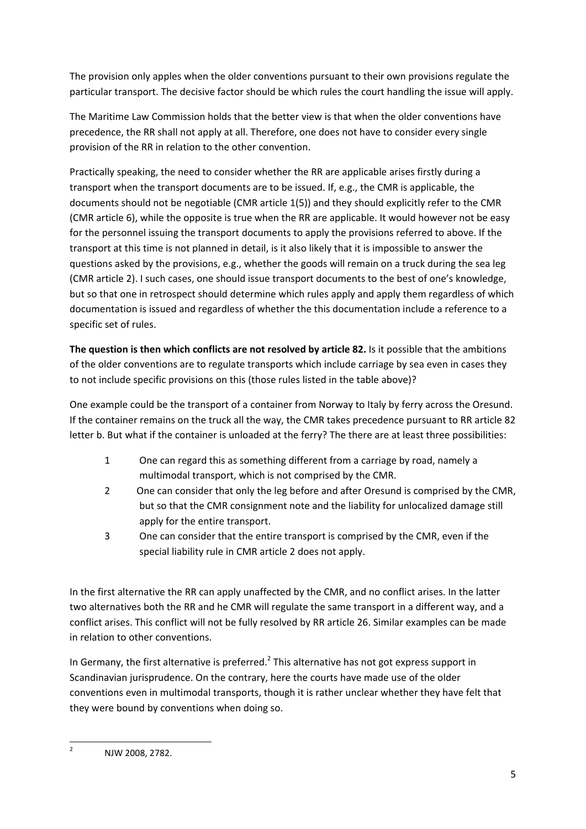The provision only apples when the older conventions pursuant to their own provisions regulate the particular transport. The decisive factor should be which rules the court handling the issue will apply.

The Maritime Law Commission holds that the better view is that when the older conventions have precedence, the RR shall not apply at all. Therefore, one does not have to consider every single provision of the RR in relation to the other convention.

Practically speaking, the need to consider whether the RR are applicable arises firstly during a transport when the transport documents are to be issued. If, e.g., the CMR is applicable, the documents should not be negotiable (CMR article 1(5)) and they should explicitly refer to the CMR (CMR article 6), while the opposite is true when the RR are applicable. It would however not be easy for the personnel issuing the transport documents to apply the provisions referred to above. If the transport at this time is not planned in detail, is it also likely that it is impossible to answer the questions asked by the provisions, e.g., whether the goods will remain on a truck during the sea leg (CMR article 2). I such cases, one should issue transport documents to the best of one's knowledge, but so that one in retrospect should determine which rules apply and apply them regardless of which documentation is issued and regardless of whether the this documentation include a reference to a specific set of rules.

**The question is then which conflicts are not resolved by article 82.** Is it possible that the ambitions of the older conventions are to regulate transports which include carriage by sea even in cases they to not include specific provisions on this (those rules listed in the table above)?

One example could be the transport of a container from Norway to Italy by ferry across the Oresund. If the container remains on the truck all the way, the CMR takes precedence pursuant to RR article 82 letter b. But what if the container is unloaded at the ferry? The there are at least three possibilities:

- 1 One can regard this as something different from a carriage by road, namely a multimodal transport, which is not comprised by the CMR.
- 2 One can consider that only the leg before and after Oresund is comprised by the CMR, but so that the CMR consignment note and the liability for unlocalized damage still apply for the entire transport.
- 3 One can consider that the entire transport is comprised by the CMR, even if the special liability rule in CMR article 2 does not apply.

In the first alternative the RR can apply unaffected by the CMR, and no conflict arises. In the latter two alternatives both the RR and he CMR will regulate the same transport in a different way, and a conflict arises. This conflict will not be fully resolved by RR article 26. Similar examples can be made in relation to other conventions.

In Germany, the first alternative is preferred.<sup>2</sup> This alternative has not got express support in Scandinavian jurisprudence. On the contrary, here the courts have made use of the older conventions even in multimodal transports, though it is rather unclear whether they have felt that they were bound by conventions when doing so.

2

 NJW 2008, 2782.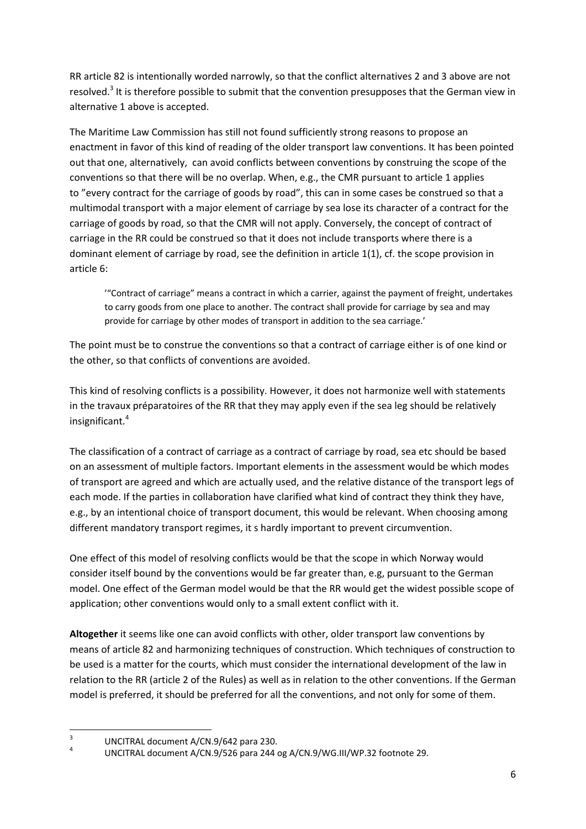RR article 82 is intentionally worded narrowly, so that the conflict alternatives 2 and 3 above are not resolved.<sup>3</sup> It is therefore possible to submit that the convention presupposes that the German view in alternative 1 above is accepted.

The Maritime Law Commission has still not found sufficiently strong reasons to propose an enactment in favor of this kind of reading of the older transport law conventions. It has been pointed out that one, alternatively, can avoid conflicts between conventions by construing the scope of the conventions so that there will be no overlap. When, e.g., the CMR pursuant to article 1 applies to "every contract for the carriage of goods by road", this can in some cases be construed so that a multimodal transport with a major element of carriage by sea lose its character of a contract for the carriage of goods by road, so that the CMR will not apply. Conversely, the concept of contract of carriage in the RR could be construed so that it does not include transports where there is a dominant element of carriage by road, see the definition in article 1(1), cf. the scope provision in article 6:

'"Contract of carriage" means a contract in which a carrier, against the payment of freight, undertakes to carry goods from one place to another. The contract shall provide for carriage by sea and may provide for carriage by other modes of transport in addition to the sea carriage.'

The point must be to construe the conventions so that a contract of carriage either is of one kind or the other, so that conflicts of conventions are avoided.

This kind of resolving conflicts is a possibility. However, it does not harmonize well with statements in the travaux préparatoires of the RR that they may apply even if the sea leg should be relatively insignificant.<sup>4</sup>

The classification of a contract of carriage as a contract of carriage by road, sea etc should be based on an assessment of multiple factors. Important elements in the assessment would be which modes of transport are agreed and which are actually used, and the relative distance of the transport legs of each mode. If the parties in collaboration have clarified what kind of contract they think they have, e.g., by an intentional choice of transport document, this would be relevant. When choosing among different mandatory transport regimes, it s hardly important to prevent circumvention.

One effect of this model of resolving conflicts would be that the scope in which Norway would consider itself bound by the conventions would be far greater than, e.g, pursuant to the German model. One effect of the German model would be that the RR would get the widest possible scope of application; other conventions would only to a small extent conflict with it.

**Altogether** it seems like one can avoid conflicts with other, older transport law conventions by means of article 82 and harmonizing techniques of construction. Which techniques of construction to be used is a matter for the courts, which must consider the international development of the law in relation to the RR (article 2 of the Rules) as well as in relation to the other conventions. If the German model is preferred, it should be preferred for all the conventions, and not only for some of them.

<sup>3</sup>  $\frac{3}{4}$  UNCITRAL document A/CN.9/642 para 230.

 UNCITRAL document A/CN.9/526 para 244 og A/CN.9/WG.III/WP.32 footnote 29.